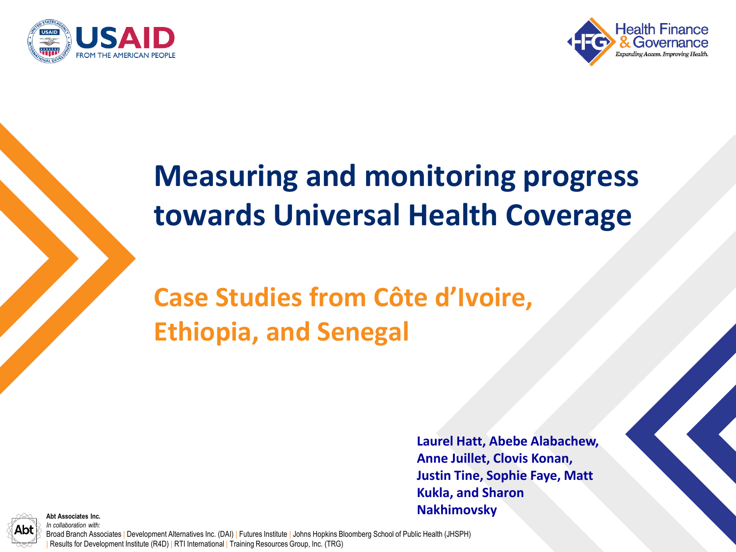



### **Measuring and monitoring progress towards Universal Health Coverage**

### **Case Studies from Côte d'Ivoire, Ethiopia, and Senegal**

**Laurel Hatt, Abebe Alabachew, Anne Juillet, Clovis Konan, Justin Tine, Sophie Faye, Matt Kukla, and Sharon Nakhimovsky**



**Abt Associates Inc.** *In collaboration with:*

Broad Branch Associates | Development Alternatives Inc. (DAI) | Futures Institute | Johns Hopkins Bloomberg School of Public Health (JHSPH) Results for Development Institute (R4D) | RTI International | Training Resources Group, Inc. (TRG)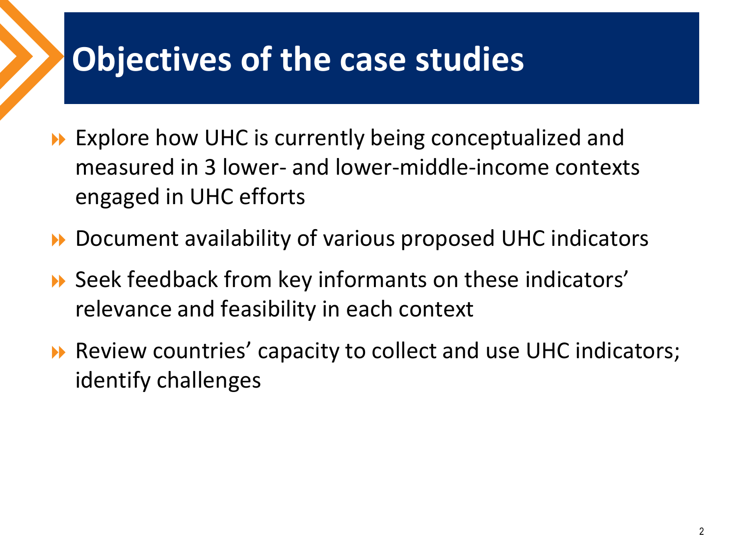### **Objectives of the case studies**

- ▶ Explore how UHC is currently being conceptualized and measured in 3 lower- and lower-middle-income contexts engaged in UHC efforts
- ▶ Document availability of various proposed UHC indicators
- ▶ Seek feedback from key informants on these indicators' relevance and feasibility in each context
- ▶ Review countries' capacity to collect and use UHC indicators; identify challenges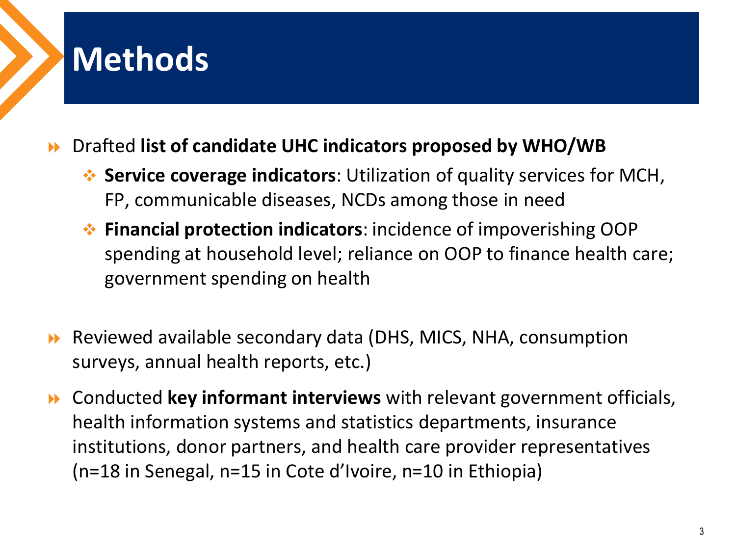### **Methods**

#### Drafted **list of candidate UHC indicators proposed by WHO/WB**

- ◆ **Service coverage indicators**: Utilization of quality services for MCH, FP, communicable diseases, NCDs among those in need
- **Financial protection indicators**: incidence of impoverishing OOP spending at household level; reliance on OOP to finance health care; government spending on health
- Reviewed available secondary data (DHS, MICS, NHA, consumption surveys, annual health reports, etc.)
- Conducted **key informant interviews** with relevant government officials, health information systems and statistics departments, insurance institutions, donor partners, and health care provider representatives (n=18 in Senegal, n=15 in Cote d'Ivoire, n=10 in Ethiopia)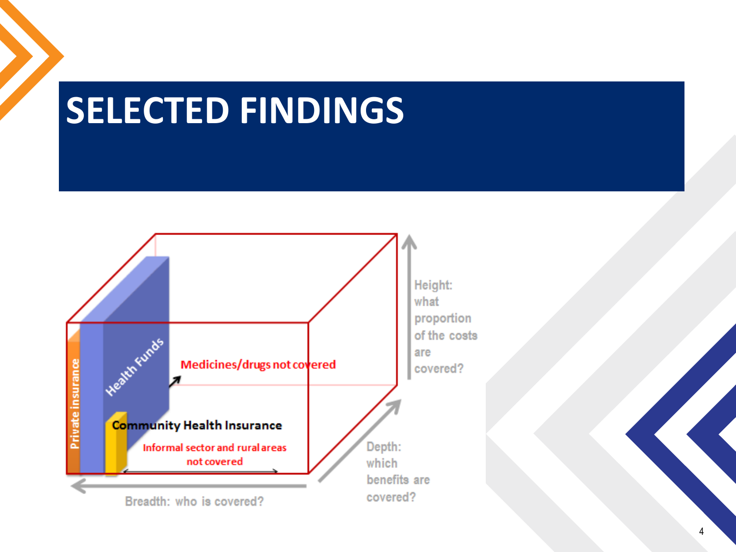# **SELECTED FINDINGS**

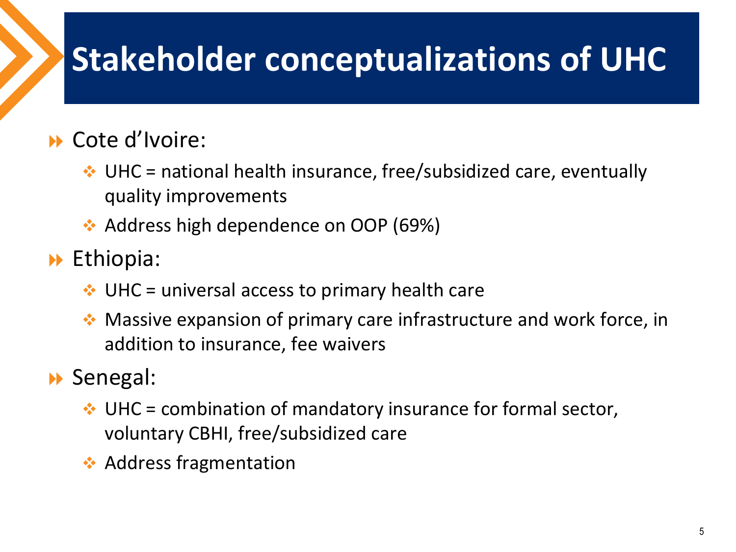## **Stakeholder conceptualizations of UHC**

### **▶ Cote d'Ivoire:**

- $\cdot$  UHC = national health insurance, free/subsidized care, eventually quality improvements
- $\leftrightarrow$  Address high dependence on OOP (69%)
- **Ethiopia:** 
	- $\cdot$  UHC = universal access to primary health care
	- ◆ Massive expansion of primary care infrastructure and work force, in addition to insurance, fee waivers

### **▶ Senegal:**

- $\cdot$  UHC = combination of mandatory insurance for formal sector, voluntary CBHI, free/subsidized care
- **◆ Address fragmentation**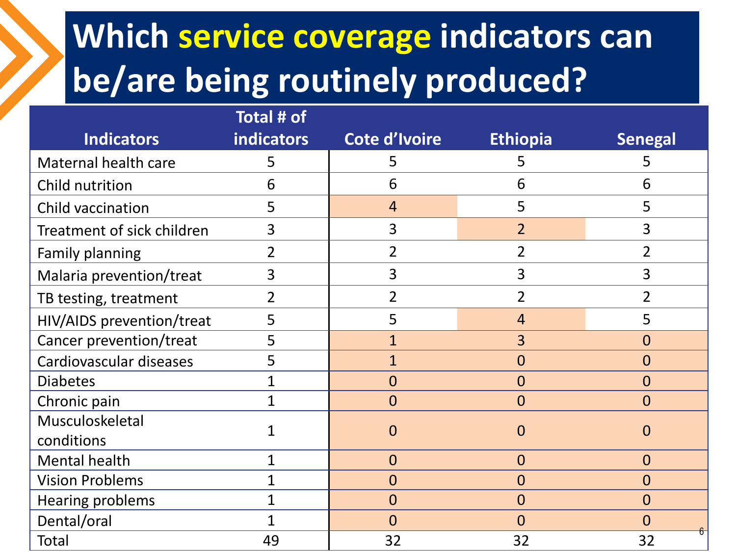# **Which service coverage indicators can be/are being routinely produced?**

|                               | Total # of        |                |                 |                |
|-------------------------------|-------------------|----------------|-----------------|----------------|
| <b>Indicators</b>             | <b>indicators</b> | Cote d'Ivoire  | <b>Ethiopia</b> | <b>Senegal</b> |
| Maternal health care          | 5                 | 5              | 5               | 5              |
| Child nutrition               | 6                 | 6              | 6               | 6              |
| Child vaccination             | 5                 | $\overline{4}$ | 5               | 5              |
| Treatment of sick children    | 3                 | 3              | $\overline{2}$  | 3              |
| <b>Family planning</b>        | $\overline{2}$    | $\overline{2}$ | $\overline{2}$  | $\overline{2}$ |
| Malaria prevention/treat      | 3                 | 3              | 3               | $\overline{3}$ |
| TB testing, treatment         | $\overline{2}$    | $\overline{2}$ | $\overline{2}$  | $\overline{2}$ |
| HIV/AIDS prevention/treat     | 5                 | 5              | $\overline{4}$  | 5              |
| Cancer prevention/treat       | 5                 | $\overline{1}$ | 3               | $\overline{0}$ |
| Cardiovascular diseases       | 5                 | $\mathbf{1}$   | 0               | $\overline{0}$ |
| <b>Diabetes</b>               | $\mathbf{1}$      | $\overline{0}$ | $\overline{0}$  | $\overline{0}$ |
| Chronic pain                  | $\overline{1}$    | $\overline{0}$ | $\overline{0}$  | $\overline{0}$ |
| Musculoskeletal<br>conditions | 1                 | 0              | 0               | 0              |
| Mental health                 | 1                 | $\overline{0}$ | $\overline{0}$  | $\overline{0}$ |
| <b>Vision Problems</b>        | $\mathbf{1}$      | $\overline{0}$ | $\overline{0}$  | $\overline{0}$ |
| <b>Hearing problems</b>       | $\mathbf 1$       | $\overline{0}$ | $\overline{0}$  | $\overline{0}$ |
| Dental/oral                   | $\mathbf{1}$      | $\overline{0}$ | $\overline{0}$  | $\overline{0}$ |
| Total                         | 49                | 32             | 32              | 32             |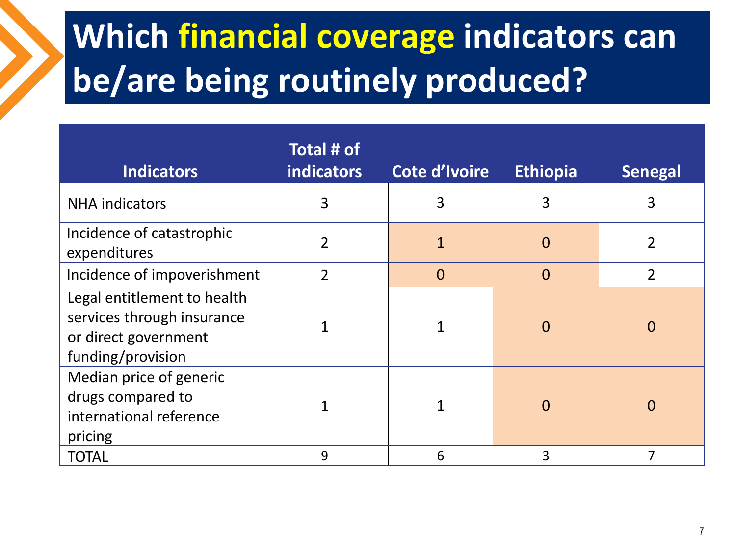# **Which financial coverage indicators can be/are being routinely produced?**

| <b>Indicators</b>                                                                                      | Total # of<br><b>indicators</b> | <b>Cote d'Ivoire</b> | <b>Ethiopia</b> | <b>Senegal</b> |
|--------------------------------------------------------------------------------------------------------|---------------------------------|----------------------|-----------------|----------------|
| <b>NHA indicators</b>                                                                                  | 3                               | 3                    | 3               | 3              |
| Incidence of catastrophic<br>expenditures                                                              | $\overline{2}$                  |                      | 0               | $\overline{2}$ |
| Incidence of impoverishment                                                                            | $\overline{2}$                  | $\overline{0}$       | $\overline{0}$  | $\overline{2}$ |
| Legal entitlement to health<br>services through insurance<br>or direct government<br>funding/provision |                                 |                      | 0               | $\Omega$       |
| Median price of generic<br>drugs compared to<br>international reference<br>pricing                     |                                 |                      | 0               | $\Omega$       |
| <b>TOTAL</b>                                                                                           | 9                               | 6                    | 3               | 7              |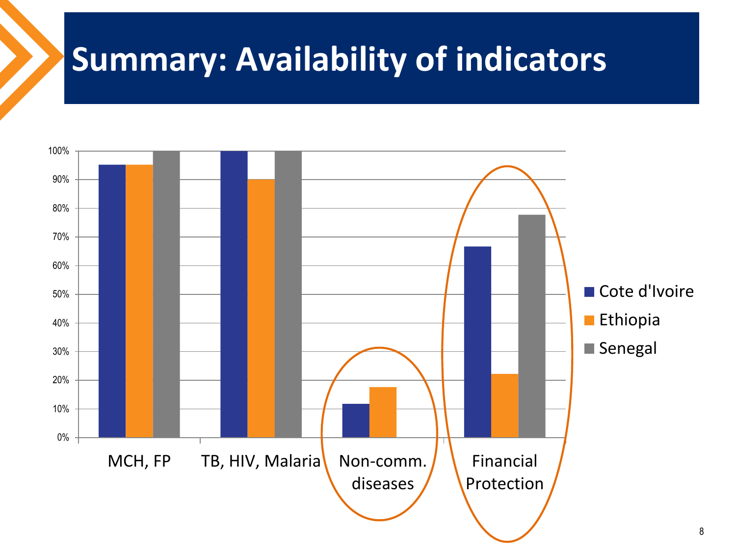## **Summary: Availability of indicators**

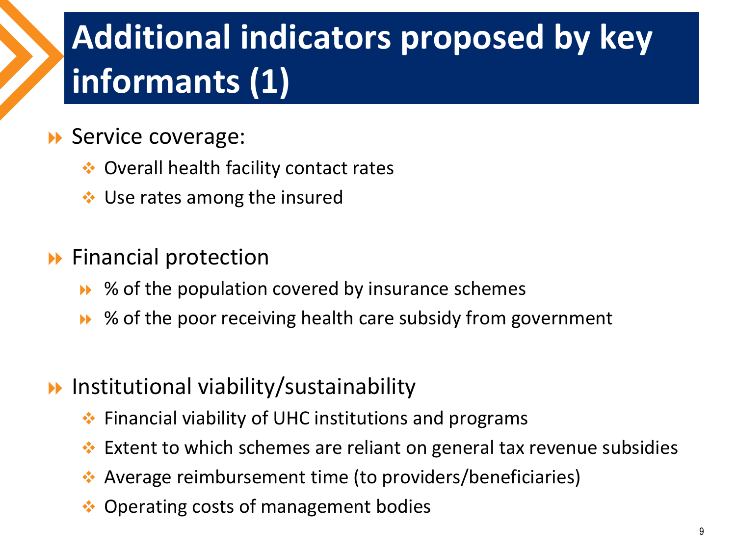# **Additional indicators proposed by key informants (1)**

#### Service coverage:

- ◆ Overall health facility contact rates
- **↓** Use rates among the insured

#### **Exercial protection**

- **▶ % of the population covered by insurance schemes**
- ▶ % of the poor receiving health care subsidy from government

#### $\rightarrow$  Institutional viability/sustainability

- Financial viability of UHC institutions and programs
- Extent to which schemes are reliant on general tax revenue subsidies
- Average reimbursement time (to providers/beneficiaries)
- Operating costs of management bodies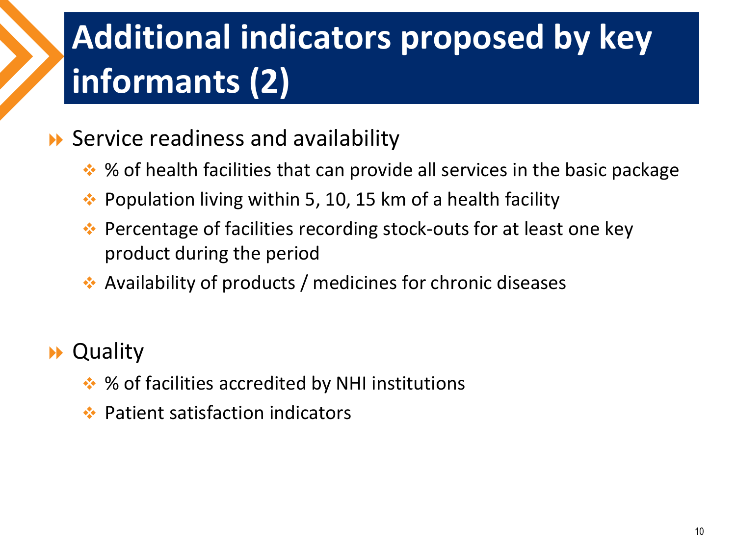# **Additional indicators proposed by key informants (2)**

#### $\rightarrow$  Service readiness and availability

- $\cdot$  % of health facilities that can provide all services in the basic package
- $\cdot$  Population living within 5, 10, 15 km of a health facility
- ◆ Percentage of facilities recording stock-outs for at least one key product during the period
- ◆ Availability of products / medicines for chronic diseases

### **\*\*** Quality

- $\div$  % of facilities accredited by NHI institutions
- **❖ Patient satisfaction indicators**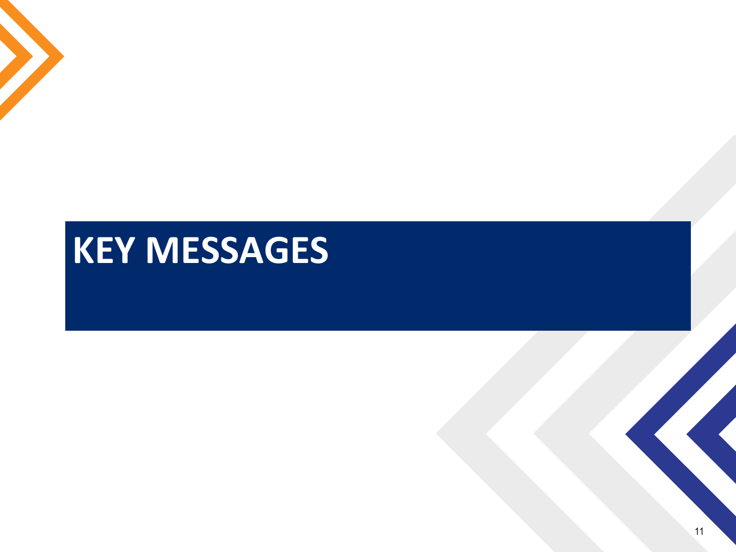## **KEY MESSAGES**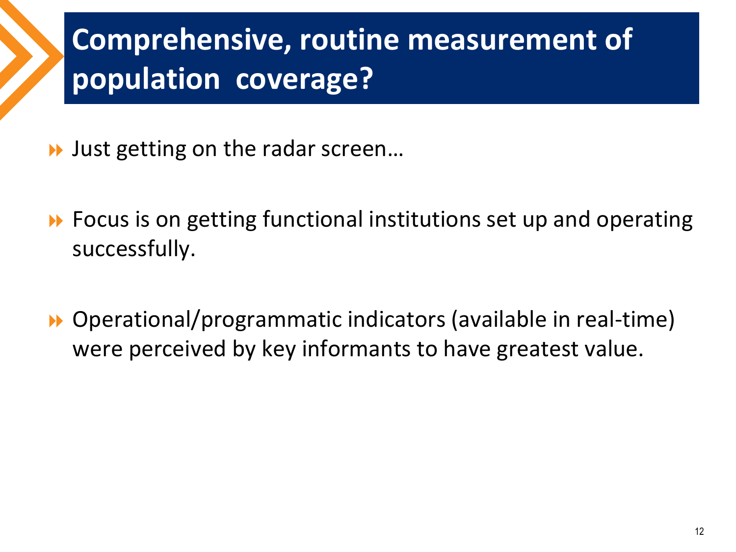## **Comprehensive, routine measurement of population coverage?**

- **→** Just getting on the radar screen...
- ▶ Focus is on getting functional institutions set up and operating successfully.
- Operational/programmatic indicators (available in real-time) were perceived by key informants to have greatest value.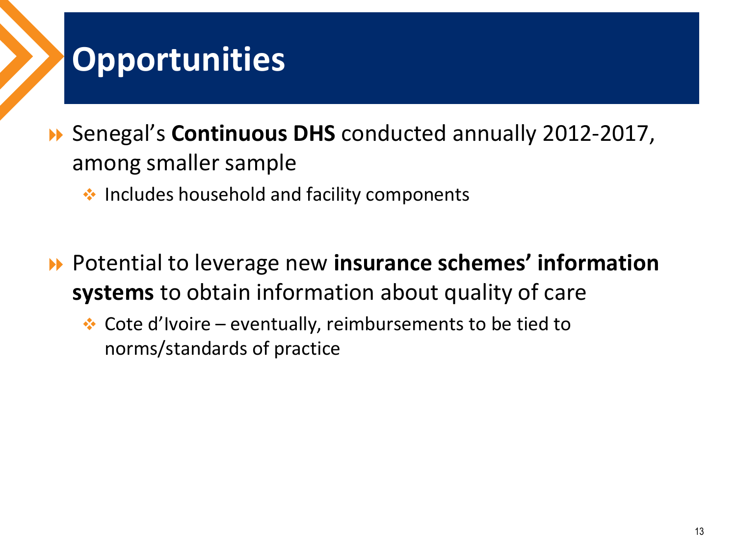## **Opportunities**

- Senegal's **Continuous DHS** conducted annually 2012-2017, among smaller sample
	- $\cdot$  Includes household and facility components
- Potential to leverage new **insurance schemes' information systems** to obtain information about quality of care
	- $\cdot$  Cote d'Ivoire eventually, reimbursements to be tied to norms/standards of practice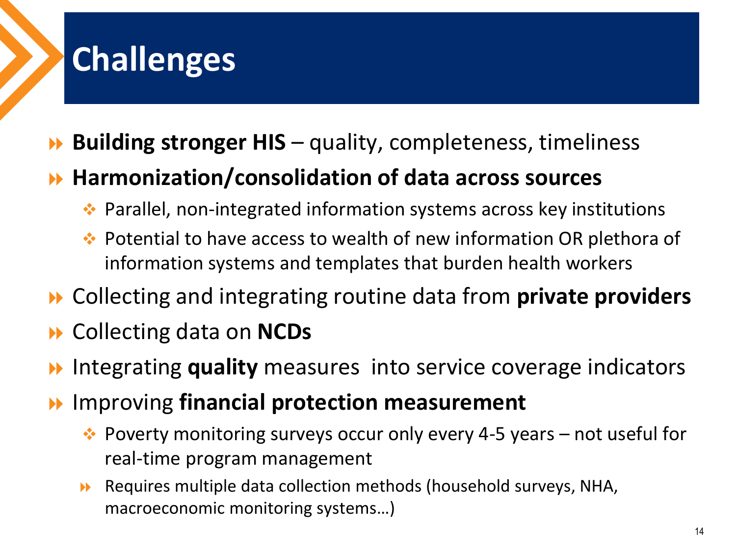## **Challenges**

### **▶ Building stronger HIS** – quality, completeness, timeliness

### **Harmonization/consolidation of data across sources**

- Parallel, non-integrated information systems across key institutions
- ◆ Potential to have access to wealth of new information OR plethora of information systems and templates that burden health workers
- Collecting and integrating routine data from **private providers**
- Collecting data on **NCDs**
- **I** Integrating quality measures into service coverage indicators
- Improving **financial protection measurement** 
	- $\cdot$  Poverty monitoring surveys occur only every 4-5 years not useful for real-time program management
	- Requires multiple data collection methods (household surveys, NHA, macroeconomic monitoring systems…)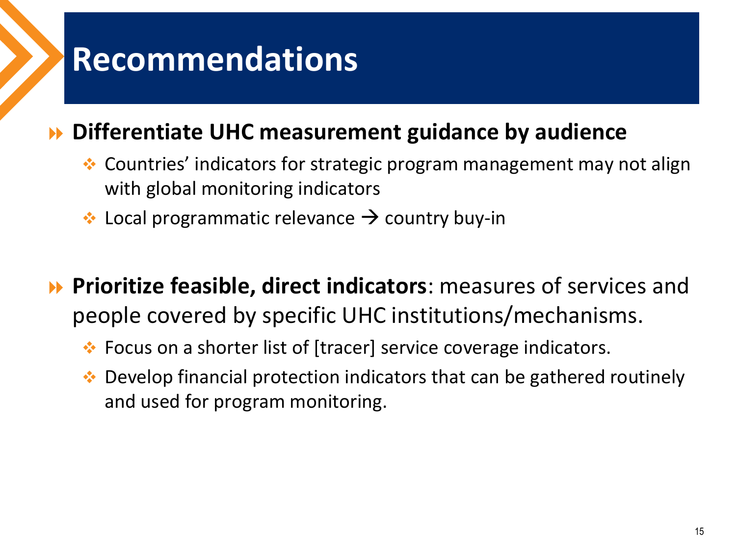### **Recommendations**

#### **Differentiate UHC measurement guidance by audience**

- ◆ Countries' indicators for strategic program management may not align with global monitoring indicators
- $\cdot$  Local programmatic relevance  $\rightarrow$  country buy-in

 **Prioritize feasible, direct indicators**: measures of services and people covered by specific UHC institutions/mechanisms.

- ◆ Focus on a shorter list of [tracer] service coverage indicators.
- ◆ Develop financial protection indicators that can be gathered routinely and used for program monitoring.